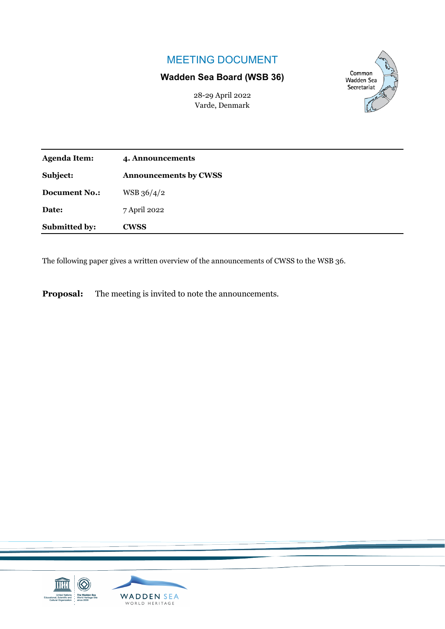## MEETING DOCUMENT

## **Wadden Sea Board (WSB 36)**

28-29 April 2022 Varde, Denmark



| <b>Agenda Item:</b>  | 4. Announcements             |
|----------------------|------------------------------|
| Subject:             | <b>Announcements by CWSS</b> |
| <b>Document No.:</b> | WSB 36/4/2                   |
| Date:                | 7 April 2022                 |
| Submitted by:        | <b>CWSS</b>                  |

The following paper gives a written overview of the announcements of CWSS to the WSB 36.

**Proposal:** The meeting is invited to note the announcements.

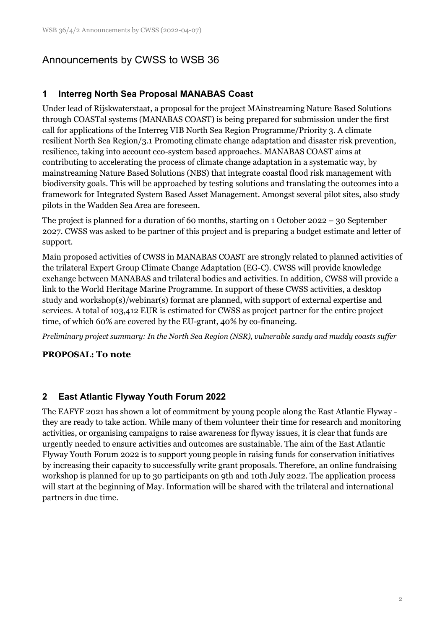# Announcements by CWSS to WSB 36

## **1 Interreg North Sea Proposal MANABAS Coast**

Under lead of Rijskwaterstaat, a proposal for the project MAinstreaming Nature Based Solutions through COASTal systems (MANABAS COAST) is being prepared for submission under the first call for applications of the Interreg VIB North Sea Region Programme/Priority 3. A climate resilient North Sea Region/3.1 Promoting climate change adaptation and disaster risk prevention, resilience, taking into account eco-system based approaches. MANABAS COAST aims at contributing to accelerating the process of climate change adaptation in a systematic way, by mainstreaming Nature Based Solutions (NBS) that integrate coastal flood risk management with biodiversity goals. This will be approached by testing solutions and translating the outcomes into a framework for Integrated System Based Asset Management. Amongst several pilot sites, also study pilots in the Wadden Sea Area are foreseen.

The project is planned for a duration of 60 months, starting on 1 October 2022 – 30 September 2027. CWSS was asked to be partner of this project and is preparing a budget estimate and letter of support.

Main proposed activities of CWSS in MANABAS COAST are strongly related to planned activities of the trilateral Expert Group Climate Change Adaptation (EG-C). CWSS will provide knowledge exchange between MANABAS and trilateral bodies and activities. In addition, CWSS will provide a link to the World Heritage Marine Programme. In support of these CWSS activities, a desktop study and workshop(s)/webinar(s) format are planned, with support of external expertise and services. A total of 103,412 EUR is estimated for CWSS as project partner for the entire project time, of which 60% are covered by the EU-grant, 40% by co-financing.

*Preliminary project summary: In the North Sea Region (NSR), vulnerable sandy and muddy coasts suffer* 

### **PROPOSAL: To note**

### **2 East Atlantic Flyway Youth Forum 2022**

The EAFYF 2021 has shown a lot of commitment by young people along the East Atlantic Flyway they are ready to take action. While many of them volunteer their time for research and monitoring activities, or organising campaigns to raise awareness for flyway issues, it is clear that funds are urgently needed to ensure activities and outcomes are sustainable. The aim of the East Atlantic Flyway Youth Forum 2022 is to support young people in raising funds for conservation initiatives by increasing their capacity to successfully write grant proposals. Therefore, an online fundraising workshop is planned for up to 30 participants on 9th and 10th July 2022. The application process will start at the beginning of May. Information will be shared with the trilateral and international partners in due time.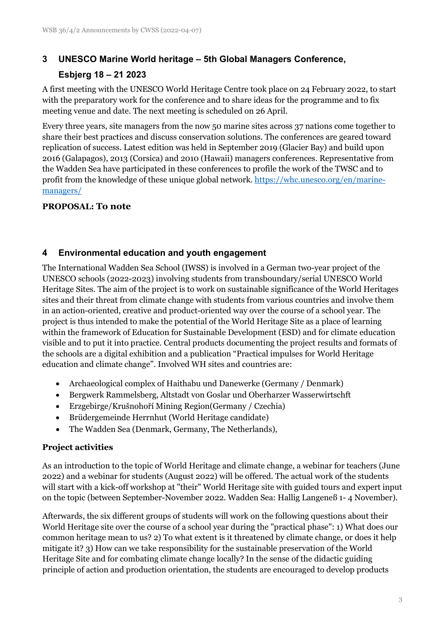# **3 UNESCO Marine World heritage – 5th Global Managers Conference,**

## **Esbjerg 18 – 21 2023**

A first meeting with the UNESCO World Heritage Centre took place on 24 February 2022, to start with the preparatory work for the conference and to share ideas for the programme and to fix meeting venue and date. The next meeting is scheduled on 26 April.

Every three years, site managers from the now 50 marine sites across 37 nations come together to share their best practices and discuss conservation solutions. The conferences are geared toward replication of success. Latest edition was held in September 2019 (Glacier Bay) and build upon 2016 (Galapagos), 2013 (Corsica) and 2010 (Hawaii) managers conferences. Representative from the Wadden Sea have participated in these conferences to profile the work of the TWSC and to profit from the knowledge of these unique global network[. https://whc.unesco.org/en/marine](https://whc.unesco.org/en/marine-managers/)[managers/](https://whc.unesco.org/en/marine-managers/)

### **PROPOSAL: To note**

## **4 Environmental education and youth engagement**

The International Wadden Sea School (IWSS) is involved in a German two-year project of the UNESCO schools (2022-2023) involving students from transboundary/serial UNESCO World Heritage Sites. The aim of the project is to work on sustainable significance of the World Heritages sites and their threat from climate change with students from various countries and involve them in an action-oriented, creative and product-oriented way over the course of a school year. The project is thus intended to make the potential of the World Heritage Site as a place of learning within the framework of Education for Sustainable Development (ESD) and for climate education visible and to put it into practice. Central products documenting the project results and formats of the schools are a digital exhibition and a publication "Practical impulses for World Heritage education and climate change". Involved WH sites and countries are:

- Archaeological complex of Haithabu und Danewerke (Germany / Denmark)
- Bergwerk Rammelsberg, Altstadt von Goslar und Oberharzer Wasserwirtschft
- Erzgebirge/Krušnohoří Mining Region(Germany / Czechia)
- Brüdergemeinde Herrnhut (World Heritage candidate)
- The Wadden Sea (Denmark, Germany, The Netherlands),

### **Project activities**

As an introduction to the topic of World Heritage and climate change, a webinar for teachers (June 2022) and a webinar for students (August 2022) will be offered. The actual work of the students will start with a kick-off workshop at "their" World Heritage site with guided tours and expert input on the topic (between September-November 2022. Wadden Sea: Hallig Langeneß 1- 4 November).

Afterwards, the six different groups of students will work on the following questions about their World Heritage site over the course of a school year during the "practical phase": 1) What does our common heritage mean to us? 2) To what extent is it threatened by climate change, or does it help mitigate it? 3) How can we take responsibility for the sustainable preservation of the World Heritage Site and for combating climate change locally? In the sense of the didactic guiding principle of action and production orientation, the students are encouraged to develop products